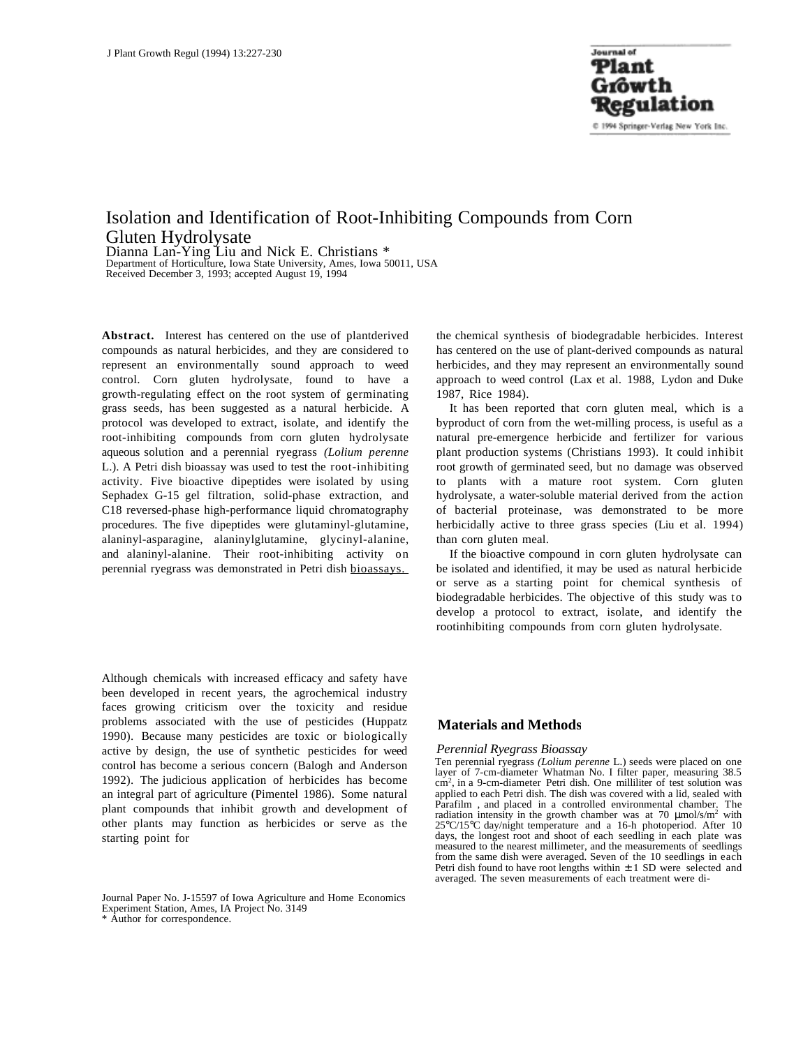# Isolation and Identification of Root-Inhibiting Compounds from Corn Gluten Hydrolysate

Dianna Lan-Ying Liu and Nick E. Christians \* Department of Horticulture, Iowa State University, Ames, Iowa 50011, USA Received December 3, 1993; accepted August 19, 1994

**Abstract.** Interest has centered on the use of plantderived compounds as natural herbicides, and they are considered to represent an environmentally sound approach to weed control. Corn gluten hydrolysate, found to have a growth-regulating effect on the root system of germinating grass seeds, has been suggested as a natural herbicide. A protocol was developed to extract, isolate, and identify the root-inhibiting compounds from corn gluten hydrolysate aqueous solution and a perennial ryegrass *(Lolium perenne* L.). A Petri dish bioassay was used to test the root-inhibiting activity. Five bioactive dipeptides were isolated by using Sephadex G-15 gel filtration, solid-phase extraction, and C18 reversed-phase high-performance liquid chromatography procedures. The five dipeptides were glutaminyl-glutamine, alaninyl-asparagine, alaninylglutamine, glycinyl-alanine, and alaninyl-alanine. Their root-inhibiting activity on perennial ryegrass was demonstrated in Petri dish bioassays.

Although chemicals with increased efficacy and safety have been developed in recent years, the agrochemical industry faces growing criticism over the toxicity and residue problems associated with the use of pesticides (Huppatz 1990). Because many pesticides are toxic or biologically active by design, the use of synthetic pesticides for weed control has become a serious concern (Balogh and Anderson 1992). The judicious application of herbicides has become an integral part of agriculture (Pimentel 1986). Some natural plant compounds that inhibit growth and development of other plants may function as herbicides or serve as the starting point for

Journal Paper No. J-15597 of Iowa Agriculture and Home Economics Experiment Station, Ames, IA Project No. 3149

\* Author for correspondence.

the chemical synthesis of biodegradable herbicides. Interest has centered on the use of plant-derived compounds as natural herbicides, and they may represent an environmentally sound approach to weed control (Lax et al. 1988, Lydon and Duke 1987, Rice 1984).

It has been reported that corn gluten meal, which is a byproduct of corn from the wet-milling process, is useful as a natural pre-emergence herbicide and fertilizer for various plant production systems (Christians 1993). It could inhibit root growth of germinated seed, but no damage was observed to plants with a mature root system. Corn gluten hydrolysate, a water-soluble material derived from the action of bacterial proteinase, was demonstrated to be more herbicidally active to three grass species (Liu et al. 1994) than corn gluten meal.

If the bioactive compound in corn gluten hydrolysate can be isolated and identified, it may be used as natural herbicide or serve as a starting point for chemical synthesis of biodegradable herbicides. The objective of this study was to develop a protocol to extract, isolate, and identify the rootinhibiting compounds from corn gluten hydrolysate.

## **Materials and Methods**

#### *Perennial Ryegrass Bioassay*

Ten perennial ryegrass *(Lolium perenne* L.) seeds were placed on one layer of 7-cm-diameter Whatman No. I filter paper, measuring 38.5 cm2 , in a 9-cm-diameter Petri dish. One milliliter of test solution was applied to each Petri dish. The dish was covered with a lid, sealed with Parafilm<sup>®</sup>, and placed in a controlled environmental chamber. The radiation intensity in the growth chamber was at 70  $\mu$ mol/s/m<sup>2</sup> with 25°C/15°C day/night temperature and a 16-h photoperiod. After 10 days, the longest root and shoot of each seedling in each plate was measured to the nearest millimeter, and the measurements of seedlings from the same dish were averaged. Seven of the 10 seedlings in each Petri dish found to have root lengths within  $\pm$  1 SD were selected and averaged. The seven measurements of each treatment were di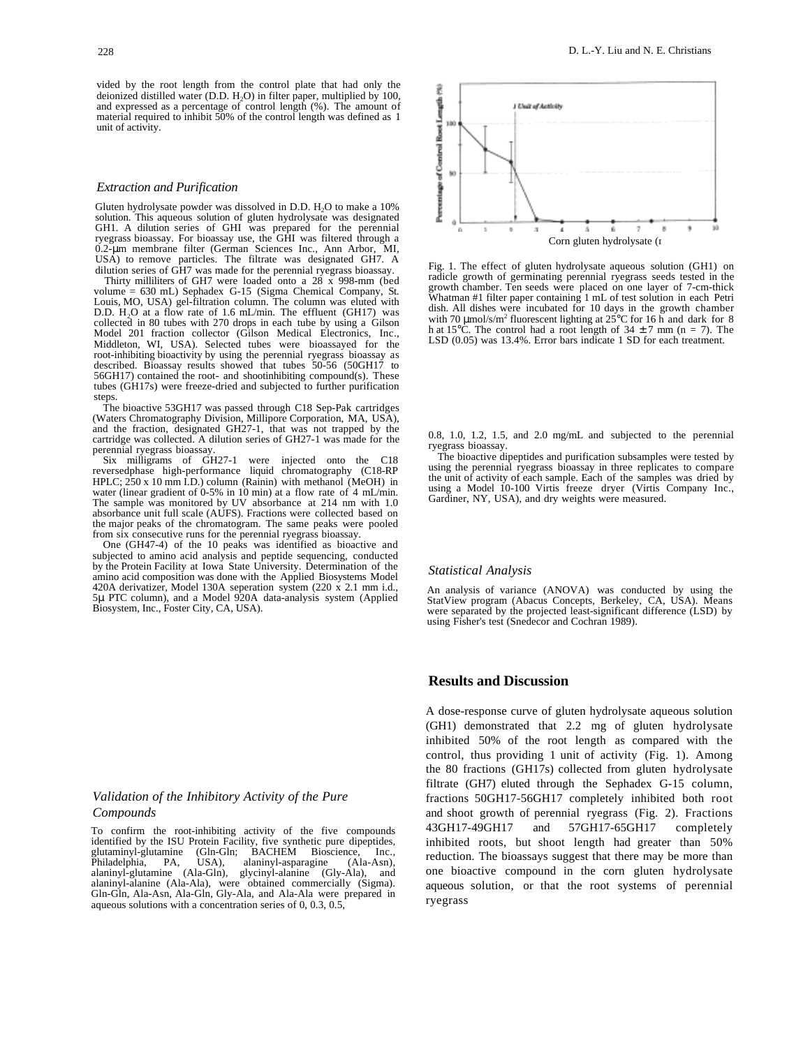vided by the root length from the control plate that had only the deionized distilled water (D.D. H<sub>2</sub>O) in filter paper, multiplied by 100, and expressed as a percentage of control length (%). The amount of material required to inhibit 50% of the control length was defined as 1 unit of activity.

#### *Extraction and Purification*

Gluten hydrolysate powder was dissolved in D.D. H<sub>2</sub>O to make a 10% solution. This aqueous solution of gluten hydrolysate was designated GH1. A dilution series of GHI was prepared for the perennial ryegrass bioassay. For bioassay use, the GHI was filtered through a 0.2-µm membrane filter (German Sciences Inc., Ann Arbor, MI, USA) to remove particles. The filtrate was designated GH7. A dilution series of GH7 was made for the perennial ryegrass bioassay.

Thirty milliliters of GH7 were loaded onto a 28 x 998-mm (bed volume = 630 mL) Sephadex G-15 (Sigma Chemical Company, St. Louis, MO, USA) gel-filtration column. The column was eluted with D.D.  $H_2O$  at a flow rate of 1.6 mL/min. The effluent (GH17) was collected in 80 tubes with 270 drops in each tube by using a Gilson Model 201 fraction collector (Gilson Medical Electronics, Inc., Middleton, WI, USA). Selected tubes were bioassayed for the root-inhibiting bioactivity by using the perennial ryegrass bioassay as described. Bioassay results showed that tubes 50-56 (50GH17 to 56GH17) contained the root- and shootinhibiting compound(s). These tubes (GH17s) were freeze-dried and subjected to further purification steps.

The bioactive 53GH17 was passed through C18 Sep-Pak cartridges (Waters Chromatography Division, Millipore Corporation, MA, USA), and the fraction, designated GH27-1, that was not trapped by the cartridge was collected. A dilution series of GH27-1 was made for the perennial ryegrass bioassay.

 $Six$  milligrams of  $GH27-1$  were injected onto the reversedphase high-performance liquid chromatography (C18-RP HPLC;  $250 \times 10 \text{ mm}$  I.D.) column (Rainin) with methanol (MeOH) in water (linear gradient of  $0-5\%$  in 10 min) at a flow rate of 4 mL/min. The sample was monitored by UV absorbance at 214 nm with 1.0 absorbance unit full scale (AUFS). Fractions were collected based on the major peaks of the chromatogram. The same peaks were pooled from six consecutive runs for the perennial ryegrass bioassay.

One (GH47-4) of the 10 peaks was identified as bioactive and subjected to amino acid analysis and peptide sequencing, conducted by the Protein Facility at Iowa State University. Determination of the amino acid composition was done with the Applied Biosystems Model 420A derivatizer, Model 130A seperation system (220 x 2.1 mm i.d., 5µ PTC column), and a Model 920A data-analysis system (Applied Biosystem, Inc., Foster City, CA, USA).

## *Validation of the Inhibitory Activity of the Pure Compounds*

To confirm the root-inhibiting activity of the five compounds identified by the ISU Protein Facility, five synthetic pure dipeptides, glutaminyl-glutamine (Gln-Gln; BACHEM Bioscience, Inc., Philadelphia, PA, USA), alaninyl-asparagine (Ala-Asn), (Gln-Gln; BACHEM Bioscience, Inc., USA), alaninyl-asparagine (Ala-Asn), alaninyl-asparagine alaninyl-glutamine (Ala-Gln), glycinyl-alanine (Gly-Ala), and alaninyl-alanine (Ala-Ala), were obtained commercially (Sigma). Gln-Gln, Ala-Asn, Ala-Gln, Gly-Ala, and Ala-Ala were prepared in aqueous solutions with a concentration series of 0, 0.3, 0.5,



Fig. 1. The effect of gluten hydrolysate aqueous solution (GH1) on radicle growth of germinating perennial ryegrass seeds tested in the growth chamber. Ten seeds were placed on one layer of 7-cm-thick Whatman #1 filter paper containing 1 mL of test solution in each Petri dish. All dishes were incubated for 10 days in the growth chamber with 70  $\mu$ mol/s/m<sup>2</sup> fluorescent lighting at 25°C for 16 h and dark for 8 h at 15°C. The control had a root length of  $34 \pm 7$  mm (n = 7). The LSD (0.05) was 13.4%. Error bars indicate 1 SD for each treatment.

0.8, 1.0, 1.2, 1.5, and 2.0 mg/mL and subjected to the perennial ryegrass bioassay.

The bioactive dipeptides and purification subsamples were tested by using the perennial ryegrass bioassay in three replicates to compare the unit of activity of each sample. Each of the samples was dried by using a Model 10-100 Virtis freeze dryer (Virtis Company Inc., Gardiner, NY, USA), and dry weights were measured.

#### *Statistical Analysis*

An analysis of variance (ANOVA) was conducted by using the StatView program (Abacus Concepts, Berkeley, CA, USA). Means were separated by the projected least-significant difference (LSD) by using Fisher's test (Snedecor and Cochran 1989).

## **Results and Discussion**

A dose-response curve of gluten hydrolysate aqueous solution (GH1) demonstrated that 2.2 mg of gluten hydrolysate inhibited 50% of the root length as compared with the control, thus providing 1 unit of activity (Fig. 1). Among the 80 fractions (GH17s) collected from gluten hydrolysate filtrate (GH7) eluted through the Sephadex G-15 column, fractions 50GH17-56GH17 completely inhibited both root and shoot growth of perennial ryegrass (Fig. 2). Fractions 43GH17-49GH17 and 57GH17-65GH17 completely inhibited roots, but shoot length had greater than 50% reduction. The bioassays suggest that there may be more than one bioactive compound in the corn gluten hydrolysate aqueous solution, or that the root systems of perennial ryegrass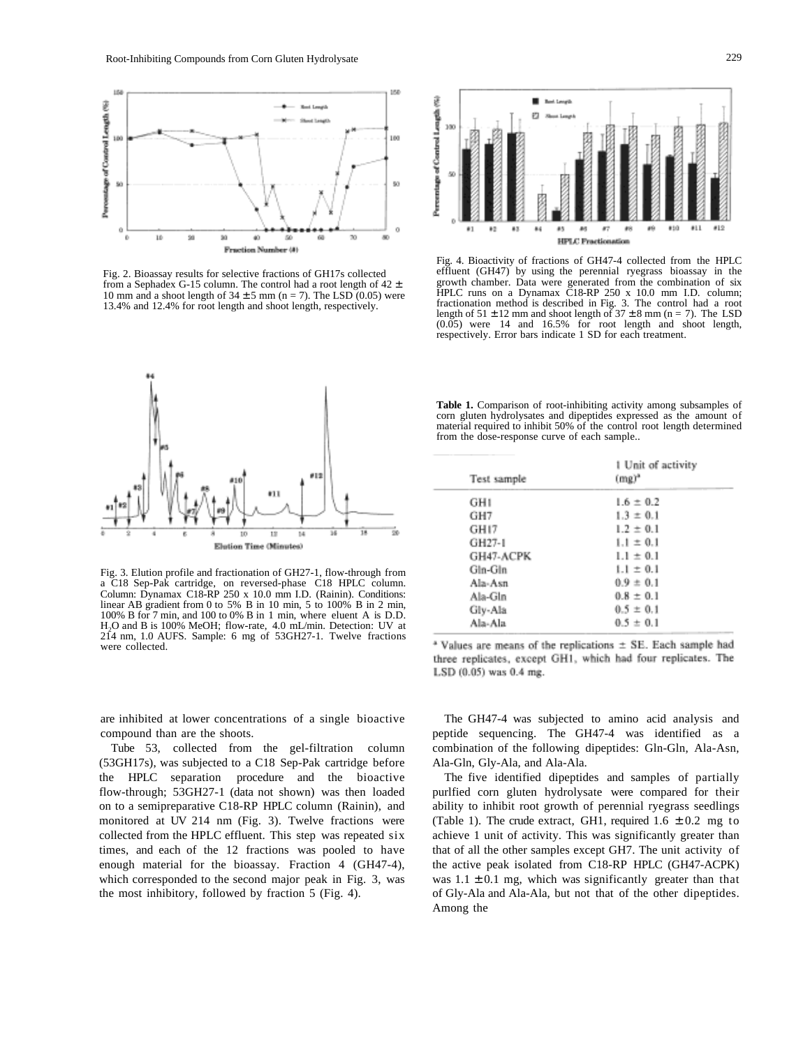

Fig. 2. Bioassay results for selective fractions of GH17s collected from a Sephadex G-15 column. The control had a root length of  $42 \pm$ 10 mm and a shoot length of  $34 \pm 5$  mm (n = 7). The LSD (0.05) were 13.4% and 12.4% for root length and shoot length, respectively.



Fig. 3. Elution profile and fractionation of GH27-1, flow-through from a C18 Sep-Pak cartridge, on reversed-phase C18 HPLC column. Column: Dynamax C18-RP 250 x 10.0 mm I.D. (Rainin). Conditions: linear AB gradient from 0 to 5% B in 10 min, 5 to 100% B in 2 min, 100% B for 7 min, and 100 to 0% B in 1 min, where eluent A is D.D. H2O and B is 100% MeOH; flow-rate, 4.0 mL/min. Detection: UV at 214 nm, 1.0 AUFS. Sample: 6 mg of 53GH27-1. Twelve fractions were collected.



Fig. 4. Bioactivity of fractions of GH47-4 collected from the HPLC effluent (GH47) by using the perennial ryegrass bioassay in the growth chamber. Data were generated from the combination of six HPLC runs on a Dynamax C18-RP 250 x 10.0 mm I.D. column; fractionation method is described in Fig. 3. The control had a root length of  $51 \pm 12$  mm and shoot length of  $37 \pm 8$  mm (n = 7). The LSD (0.05) were 14 and 16.5% for root length and shoot length, respectively. Error bars indicate 1 SD for each treatment.

Table 1. Comparison of root-inhibiting activity among subsamples of corn gluten hydrolysates and dipeptides expressed as the amount of material required to inhibit 50% of the control root length determined from the dose-response curve of each sample..

| 1 Unit of activity<br>$(mg)^a$ |
|--------------------------------|
| $1.6 \pm 0.2$                  |
| $1.3 \pm 0.1$                  |
| $1.2 \pm 0.1$                  |
| $1.1 \pm 0.1$                  |
| $1.1 \pm 0.1$                  |
| $1.1 \pm 0.1$                  |
| $0.9 \pm 0.1$                  |
| $0.8 \pm 0.1$                  |
| $0.5 \pm 0.1$                  |
| $0.5 \pm 0.1$                  |
|                                |

 $*$  Values are means of the replications  $\pm$  SE. Each sample had three replicates, except GH1, which had four replicates. The LSD (0.05) was 0.4 mg.

are inhibited at lower concentrations of a single bioactive compound than are the shoots.

Tube 53, collected from the gel-filtration column (53GH17s), was subjected to a C18 Sep-Pak cartridge before the HPLC separation procedure and the bioactive flow-through; 53GH27-1 (data not shown) was then loaded on to a semipreparative C18-RP HPLC column (Rainin), and monitored at UV 214 nm (Fig. 3). Twelve fractions were collected from the HPLC effluent. This step was repeated six times, and each of the 12 fractions was pooled to have enough material for the bioassay. Fraction 4 (GH47-4), which corresponded to the second major peak in Fig. 3, was the most inhibitory, followed by fraction 5 (Fig. 4).

The GH47-4 was subjected to amino acid analysis and peptide sequencing. The GH47-4 was identified as a combination of the following dipeptides: Gln-Gln, Ala-Asn, Ala-Gln, Gly-Ala, and Ala-Ala.

The five identified dipeptides and samples of partially purlfied corn gluten hydrolysate were compared for their ability to inhibit root growth of perennial ryegrass seedlings (Table 1). The crude extract, GH1, required  $1.6 \pm 0.2$  mg to achieve 1 unit of activity. This was significantly greater than that of all the other samples except GH7. The unit activity of the active peak isolated from C18-RP HPLC (GH47-ACPK) was  $1.1 \pm 0.1$  mg, which was significantly greater than that of Gly-Ala and Ala-Ala, but not that of the other dipeptides. Among the